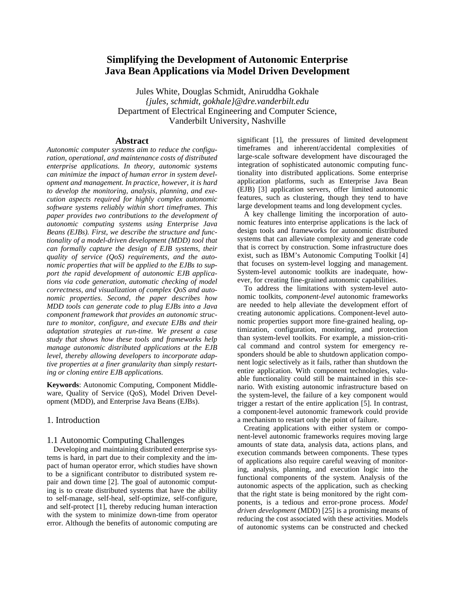# **Simplifying the Development of Autonomic Enterprise Java Bean Applications via Model Driven Development**

Jules White, Douglas Schmidt, Aniruddha Gokhale *{jules, schmidt, gokhale}@dre.vanderbilt.edu*  Department of Electrical Engineering and Computer Science, Vanderbilt University, Nashville

#### **Abstract**

*Autonomic computer systems aim to reduce the configuration, operational, and maintenance costs of distributed enterprise applications. In theory, autonomic systems can minimize the impact of human error in system development and management. In practice, however, it is hard to develop the monitoring, analysis, planning, and execution aspects required for highly complex autonomic software systems reliably within short timeframes. This paper provides two contributions to the development of autonomic computing systems using Enterprise Java Beans (EJBs). First, we describe the structure and functionality of a model-driven development (MDD) tool that can formally capture the design of EJB systems, their quality of service (QoS) requirements, and the autonomic properties that will be applied to the EJBs to support the rapid development of autonomic EJB applications via code generation, automatic checking of model correctness, and visualization of complex QoS and autonomic properties. Second, the paper describes how MDD tools can generate code to plug EJBs into a Java component framework that provides an autonomic structure to monitor, configure, and execute EJBs and their adaptation strategies at run-time. We present a case study that shows how these tools and frameworks help manage autonomic distributed applications at the EJB level, thereby allowing developers to incorporate adaptive properties at a finer granularity than simply restarting or cloning entire EJB applications.* 

**Keywords**: Autonomic Computing, Component Middleware, Quality of Service (QoS), Model Driven Development (MDD), and Enterprise Java Beans (EJBs).

#### 1. Introduction

#### 1.1 Autonomic Computing Challenges

Developing and maintaining distributed enterprise systems is hard, in part due to their complexity and the impact of human operator error, which studies have shown to be a significant contributor to distributed system repair and down time [2]. The goal of autonomic computing is to create distributed systems that have the ability to self-manage, self-heal, self-optimize, self-configure, and self-protect [1], thereby reducing human interaction with the system to minimize down-time from operator error. Although the benefits of autonomic computing are

significant [1], the pressures of limited development timeframes and inherent/accidental complexities of large-scale software development have discouraged the integration of sophisticated autonomic computing functionality into distributed applications. Some enterprise application platforms, such as Enterprise Java Bean (EJB) [3] application servers, offer limited autonomic features, such as clustering, though they tend to have large development teams and long development cycles.

A key challenge limiting the incorporation of autonomic features into enterprise applications is the lack of design tools and frameworks for autonomic distributed systems that can alleviate complexity and generate code that is correct by construction. Some infrastructure does exist, such as IBM's Autonomic Computing Toolkit [4] that focuses on system-level logging and management. System-level autonomic toolkits are inadequate, however, for creating fine-grained autonomic capabilities.

To address the limitations with system-level autonomic toolkits, *component-level* autonomic frameworks are needed to help alleviate the development effort of creating autonomic applications. Component-level autonomic properties support more fine-grained healing, optimization, configuration, monitoring, and protection than system-level toolkits. For example, a mission-critical command and control system for emergency responders should be able to shutdown application component logic selectively as it fails, rather than shutdown the entire application. With component technologies, valuable functionality could still be maintained in this scenario. With existing autonomic infrastructure based on the system-level, the failure of a key component would trigger a restart of the entire application [5]. In contrast, a component-level autonomic framework could provide a mechanism to restart only the point of failure.

Creating applications with either system or component-level autonomic frameworks requires moving large amounts of state data, analysis data, actions plans, and execution commands between components. These types of applications also require careful weaving of monitoring, analysis, planning, and execution logic into the functional components of the system. Analysis of the autonomic aspects of the application, such as checking that the right state is being monitored by the right components, is a tedious and error-prone process. *Model driven development* (MDD) [25] is a promising means of reducing the cost associated with these activities. Models of autonomic systems can be constructed and checked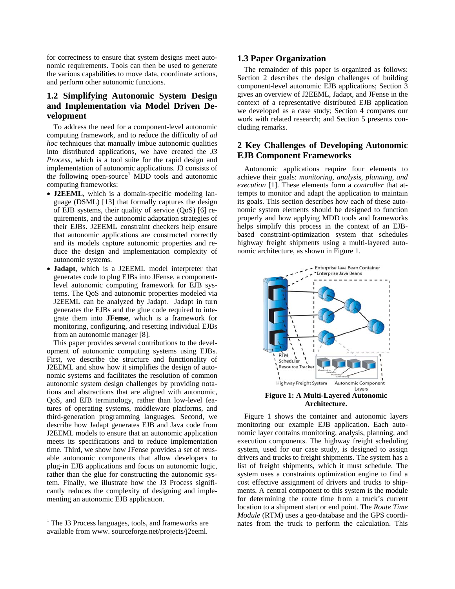for correctness to ensure that system designs meet autonomic requirements. Tools can then be used to generate the various capabilities to move data, coordinate actions, and perform other autonomic functions.

# **1.2 Simplifying Autonomic System Design and Implementation via Model Driven Development**

To address the need for a component-level autonomic computing framework, and to reduce the difficulty of *ad hoc* techniques that manually imbue autonomic qualities into distributed applications, we have created the *J3 Process,* which is a tool suite for the rapid design and implementation of autonomic applications. J3 consists of the following open-source<sup>[1](#page-1-0)</sup> MDD tools and autonomic computing frameworks:

- **J2EEML**, which is a domain-specific modeling language (DSML) [13] that formally captures the design of EJB systems, their quality of service (QoS) [6] requirements, and the autonomic adaptation strategies of their EJBs. J2EEML constraint checkers help ensure that autonomic applications are constructed correctly and its models capture autonomic properties and reduce the design and implementation complexity of autonomic systems.
- **Jadapt**, which is a J2EEML model interpreter that generates code to plug EJBs into JFense, a componentlevel autonomic computing framework for EJB systems. The QoS and autonomic properties modeled via J2EEML can be analyzed by Jadapt. Jadapt in turn generates the EJBs and the glue code required to integrate them into **JFense**, which is a framework for monitoring, configuring, and resetting individual EJBs from an autonomic manager [8].

This paper provides several contributions to the development of autonomic computing systems using EJBs. First, we describe the structure and functionality of J2EEML and show how it simplifies the design of autonomic systems and facilitates the resolution of common autonomic system design challenges by providing notations and abstractions that are aligned with autonomic, QoS, and EJB terminology, rather than low-level features of operating systems, middleware platforms, and third-generation programming languages. Second, we describe how Jadapt generates EJB and Java code from J2EEML models to ensure that an autonomic application meets its specifications and to reduce implementation time. Third, we show how JFense provides a set of reusable autonomic components that allow developers to plug-in EJB applications and focus on autonomic logic, rather than the glue for constructing the autonomic system. Finally, we illustrate how the J3 Process significantly reduces the complexity of designing and implementing an autonomic EJB application.

#### **1.3 Paper Organization**

The remainder of this paper is organized as follows: Section 2 describes the design challenges of building component-level autonomic EJB applications; Section 3 gives an overview of J2EEML, Jadapt, and JFense in the context of a representative distributed EJB application we developed as a case study; Section 4 compares our work with related research; and Section 5 presents concluding remarks.

## **2 Key Challenges of Developing Autonomic EJB Component Frameworks**

Autonomic applications require four elements to achieve their goals: *monitoring, analysis, planning, and execution* [1]. These elements form a *controller* that attempts to monitor and adapt the application to maintain its goals. This section describes how each of these autonomic system elements should be designed to function properly and how applying MDD tools and frameworks helps simplify this process in the context of an EJBbased constraint-optimization system that schedules highway freight shipments using a multi-layered autonomic architecture, as shown in Figure 1.



Figure 1 shows the container and autonomic layers monitoring our example EJB application. Each autonomic layer contains monitoring, analysis, planning, and execution components. The highway freight scheduling system, used for our case study, is designed to assign drivers and trucks to freight shipments. The system has a list of freight shipments, which it must schedule. The system uses a constraints optimization engine to find a cost effective assignment of drivers and trucks to shipments. A central component to this system is the module for determining the route time from a truck's current location to a shipment start or end point. The *Route Time Module* (RTM) uses a geo-database and the GPS coordinates from the truck to perform the calculation. This

<span id="page-1-0"></span><sup>&</sup>lt;sup>1</sup> The J3 Process languages, tools, and frameworks are available from www. sourceforge.net/projects/j2eeml.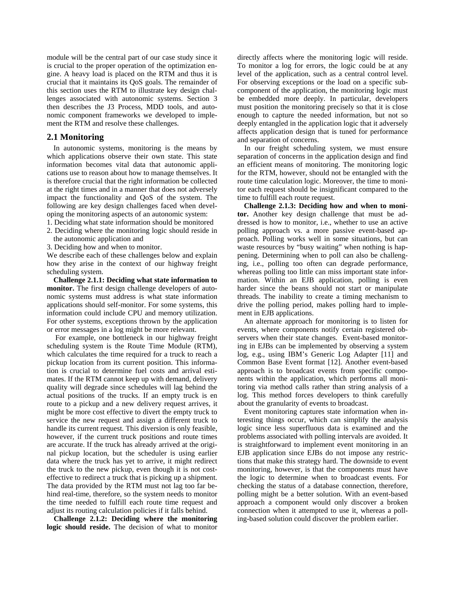module will be the central part of our case study since it is crucial to the proper operation of the optimization engine. A heavy load is placed on the RTM and thus it is crucial that it maintains its QoS goals. The remainder of this section uses the RTM to illustrate key design challenges associated with autonomic systems. Section 3 then describes the J3 Process, MDD tools, and autonomic component frameworks we developed to implement the RTM and resolve these challenges.

### **2.1 Monitoring**

In autonomic systems, monitoring is the means by which applications observe their own state. This state information becomes vital data that autonomic applications use to reason about how to manage themselves. It is therefore crucial that the right information be collected at the right times and in a manner that does not adversely impact the functionality and QoS of the system. The following are key design challenges faced when developing the monitoring aspects of an autonomic system:

1. Deciding what state information should be monitored

2. Deciding where the monitoring logic should reside in the autonomic application and

3. Deciding how and when to monitor.

We describe each of these challenges below and explain how they arise in the context of our highway freight scheduling system.

**Challenge 2.1.1: Deciding what state information to monitor.** The first design challenge developers of autonomic systems must address is what state information applications should self-monitor. For some systems, this information could include CPU and memory utilization. For other systems, exceptions thrown by the application or error messages in a log might be more relevant.

 For example, one bottleneck in our highway freight scheduling system is the Route Time Module (RTM), which calculates the time required for a truck to reach a pickup location from its current position. This information is crucial to determine fuel costs and arrival estimates. If the RTM cannot keep up with demand, delivery quality will degrade since schedules will lag behind the actual positions of the trucks. If an empty truck is en route to a pickup and a new delivery request arrives, it might be more cost effective to divert the empty truck to service the new request and assign a different truck to handle its current request. This diversion is only feasible, however, if the current truck positions and route times are accurate. If the truck has already arrived at the original pickup location, but the scheduler is using earlier data where the truck has yet to arrive, it might redirect the truck to the new pickup, even though it is not costeffective to redirect a truck that is picking up a shipment. The data provided by the RTM must not lag too far behind real-time, therefore, so the system needs to monitor the time needed to fulfill each route time request and adjust its routing calculation policies if it falls behind.

**Challenge 2.1.2: Deciding where the monitoring logic should reside.** The decision of what to monitor

directly affects where the monitoring logic will reside. To monitor a log for errors, the logic could be at any level of the application, such as a central control level. For observing exceptions or the load on a specific subcomponent of the application, the monitoring logic must be embedded more deeply. In particular, developers must position the monitoring precisely so that it is close enough to capture the needed information, but not so deeply entangled in the application logic that it adversely affects application design that is tuned for performance and separation of concerns.

In our freight scheduling system, we must ensure separation of concerns in the application design and find an efficient means of monitoring. The monitoring logic for the RTM, however, should not be entangled with the route time calculation logic. Moreover, the time to monitor each request should be insignificant compared to the time to fulfill each route request.

**Challenge 2.1.3: Deciding how and when to monitor.** Another key design challenge that must be addressed is how to monitor, i.e., whether to use an active polling approach vs. a more passive event-based approach. Polling works well in some situations, but can waste resources by "busy waiting" when nothing is happening. Determining when to poll can also be challenging, i.e., polling too often can degrade performance, whereas polling too little can miss important state information. Within an EJB application, polling is even harder since the beans should not start or manipulate threads. The inability to create a timing mechanism to drive the polling period, makes polling hard to implement in EJB applications.

An alternate approach for monitoring is to listen for events, where components notify certain registered observers when their state changes. Event-based monitoring in EJBs can be implemented by observing a system log, e.g., using IBM's Generic Log Adapter [11] and Common Base Event format [12]. Another event-based approach is to broadcast events from specific components within the application, which performs all monitoring via method calls rather than string analysis of a log. This method forces developers to think carefully about the granularity of events to broadcast.

Event monitoring captures state information when interesting things occur, which can simplify the analysis logic since less superfluous data is examined and the problems associated with polling intervals are avoided. It is straightforward to implement event monitoring in an EJB application since EJBs do not impose any restrictions that make this strategy hard. The downside to event monitoring, however, is that the components must have the logic to determine when to broadcast events. For checking the status of a database connection, therefore, polling might be a better solution. With an event-based approach a component would only discover a broken connection when it attempted to use it, whereas a polling-based solution could discover the problem earlier.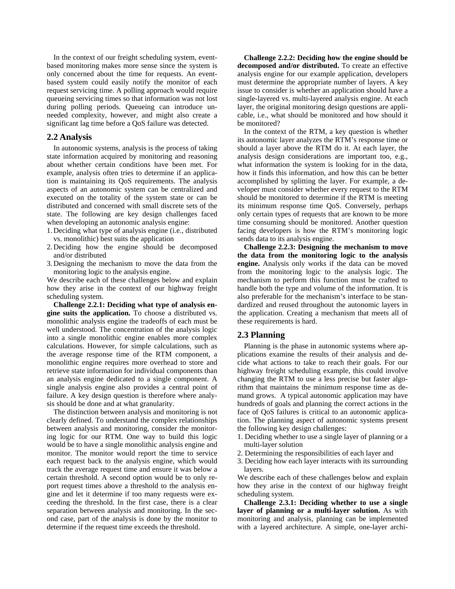In the context of our freight scheduling system, eventbased monitoring makes more sense since the system is only concerned about the time for requests. An eventbased system could easily notify the monitor of each request servicing time. A polling approach would require queueing servicing times so that information was not lost during polling periods. Queueing can introduce unneeded complexity, however, and might also create a significant lag time before a QoS failure was detected.

#### **2.2 Analysis**

In autonomic systems, analysis is the process of taking state information acquired by monitoring and reasoning about whether certain conditions have been met. For example, analysis often tries to determine if an application is maintaining its QoS requirements. The analysis aspects of an autonomic system can be centralized and executed on the totality of the system state or can be distributed and concerned with small discrete sets of the state. The following are key design challenges faced when developing an autonomic analysis engine:

- 1. Deciding what type of analysis engine (i.e., distributed vs. monolithic) best suits the application
- 2. Deciding how the engine should be decomposed and/or distributed
- 3. Designing the mechanism to move the data from the monitoring logic to the analysis engine.

We describe each of these challenges below and explain how they arise in the context of our highway freight scheduling system.

**Challenge 2.2.1: Deciding what type of analysis engine suits the application.** To choose a distributed vs. monolithic analysis engine the tradeoffs of each must be well understood. The concentration of the analysis logic into a single monolithic engine enables more complex calculations. However, for simple calculations, such as the average response time of the RTM component, a monolithic engine requires more overhead to store and retrieve state information for individual components than an analysis engine dedicated to a single component. A single analysis engine also provides a central point of failure. A key design question is therefore where analysis should be done and at what granularity.

The distinction between analysis and monitoring is not clearly defined. To understand the complex relationships between analysis and monitoring, consider the monitoring logic for our RTM. One way to build this logic would be to have a single monolithic analysis engine and monitor. The monitor would report the time to service each request back to the analysis engine, which would track the average request time and ensure it was below a certain threshold. A second option would be to only report request times above a threshold to the analysis engine and let it determine if too many requests were exceeding the threshold. In the first case, there is a clear separation between analysis and monitoring. In the second case, part of the analysis is done by the monitor to determine if the request time exceeds the threshold.

**Challenge 2.2.2: Deciding how the engine should be decomposed and/or distributed.** To create an effective analysis engine for our example application, developers must determine the appropriate number of layers. A key issue to consider is whether an application should have a single-layered vs. multi-layered analysis engine. At each layer, the original monitoring design questions are applicable, i.e., what should be monitored and how should it be monitored?

In the context of the RTM, a key question is whether its autonomic layer analyzes the RTM's response time or should a layer above the RTM do it. At each layer, the analysis design considerations are important too, e.g., what information the system is looking for in the data, how it finds this information, and how this can be better accomplished by splitting the layer. For example, a developer must consider whether every request to the RTM should be monitored to determine if the RTM is meeting its minimum response time QoS. Conversely, perhaps only certain types of requests that are known to be more time consuming should be monitored. Another question facing developers is how the RTM's monitoring logic sends data to its analysis engine.

**Challenge 2.2.3: Designing the mechanism to move the data from the monitoring logic to the analysis engine.** Analysis only works if the data can be moved from the monitoring logic to the analysis logic. The mechanism to perform this function must be crafted to handle both the type and volume of the information. It is also preferable for the mechanism's interface to be standardized and reused throughout the autonomic layers in the application. Creating a mechanism that meets all of these requirements is hard.

### **2.3 Planning**

Planning is the phase in autonomic systems where applications examine the results of their analysis and decide what actions to take to reach their goals. For our highway freight scheduling example, this could involve changing the RTM to use a less precise but faster algorithm that maintains the minimum response time as demand grows. A typical autonomic application may have hundreds of goals and planning the correct actions in the face of QoS failures is critical to an autonomic application. The planning aspect of autonomic systems present the following key design challenges:

- 1. Deciding whether to use a single layer of planning or a multi-layer solution
- 2. Determining the responsibilities of each layer and
- 3. Deciding how each layer interacts with its surrounding layers.

We describe each of these challenges below and explain how they arise in the context of our highway freight scheduling system.

**Challenge 2.3.1: Deciding whether to use a single layer of planning or a multi-layer solution.** As with monitoring and analysis, planning can be implemented with a layered architecture. A simple, one-layer archi-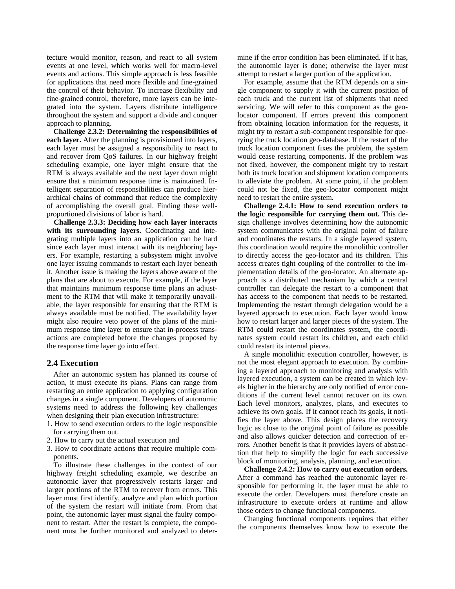tecture would monitor, reason, and react to all system events at one level, which works well for macro-level events and actions. This simple approach is less feasible for applications that need more flexible and fine-grained the control of their behavior. To increase flexibility and fine-grained control, therefore, more layers can be integrated into the system. Layers distribute intelligence throughout the system and support a divide and conquer approach to planning.

**Challenge 2.3.2: Determining the responsibilities of each layer.** After the planning is provisioned into layers, each layer must be assigned a responsibility to react to and recover from QoS failures. In our highway freight scheduling example, one layer might ensure that the RTM is always available and the next layer down might ensure that a minimum response time is maintained. Intelligent separation of responsibilities can produce hierarchical chains of command that reduce the complexity of accomplishing the overall goal. Finding these wellproportioned divisions of labor is hard.

**Challenge 2.3.3: Deciding how each layer interacts with its surrounding layers.** Coordinating and integrating multiple layers into an application can be hard since each layer must interact with its neighboring layers. For example, restarting a subsystem might involve one layer issuing commands to restart each layer beneath it. Another issue is making the layers above aware of the plans that are about to execute. For example, if the layer that maintains minimum response time plans an adjustment to the RTM that will make it temporarily unavailable, the layer responsible for ensuring that the RTM is always available must be notified. The availability layer might also require veto power of the plans of the minimum response time layer to ensure that in-process transactions are completed before the changes proposed by the response time layer go into effect.

### **2.4 Execution**

After an autonomic system has planned its course of action, it must execute its plans. Plans can range from restarting an entire application to applying configuration changes in a single component. Developers of autonomic systems need to address the following key challenges when designing their plan execution infrastructure:

- 1. How to send execution orders to the logic responsible for carrying them out.
- 2. How to carry out the actual execution and
- 3. How to coordinate actions that require multiple components.

To illustrate these challenges in the context of our highway freight scheduling example, we describe an autonomic layer that progressively restarts larger and larger portions of the RTM to recover from errors. This layer must first identify, analyze and plan which portion of the system the restart will initiate from. From that point, the autonomic layer must signal the faulty component to restart. After the restart is complete, the component must be further monitored and analyzed to determine if the error condition has been eliminated. If it has, the autonomic layer is done; otherwise the layer must attempt to restart a larger portion of the application.

For example, assume that the RTM depends on a single component to supply it with the current position of each truck and the current list of shipments that need servicing. We will refer to this component as the geolocator component. If errors prevent this component from obtaining location information for the requests, it might try to restart a sub-component responsible for querying the truck location geo-database. If the restart of the truck location component fixes the problem, the system would cease restarting components. If the problem was not fixed, however, the component might try to restart both its truck location and shipment location components to alleviate the problem. At some point, if the problem could not be fixed, the geo-locator component might need to restart the entire system.

**Challenge 2.4.1: How to send execution orders to the logic responsible for carrying them out.** This design challenge involves determining how the autonomic system communicates with the original point of failure and coordinates the restarts. In a single layered system, this coordination would require the monolithic controller to directly access the geo-locator and its children. This access creates tight coupling of the controller to the implementation details of the geo-locator. An alternate approach is a distributed mechanism by which a central controller can delegate the restart to a component that has access to the component that needs to be restarted. Implementing the restart through delegation would be a layered approach to execution. Each layer would know how to restart larger and larger pieces of the system. The RTM could restart the coordinates system, the coordinates system could restart its children, and each child could restart its internal pieces.

A single monolithic execution controller, however, is not the most elegant approach to execution. By combining a layered approach to monitoring and analysis with layered execution, a system can be created in which levels higher in the hierarchy are only notified of error conditions if the current level cannot recover on its own. Each level monitors, analyzes, plans, and executes to achieve its own goals. If it cannot reach its goals, it notifies the layer above. This design places the recovery logic as close to the original point of failure as possible and also allows quicker detection and correction of errors. Another benefit is that it provides layers of abstraction that help to simplify the logic for each successive block of monitoring, analysis, planning, and execution.

**Challenge 2.4.2: How to carry out execution orders.**  After a command has reached the autonomic layer responsible for performing it, the layer must be able to execute the order. Developers must therefore create an infrastructure to execute orders at runtime and allow those orders to change functional components.

Changing functional components requires that either the components themselves know how to execute the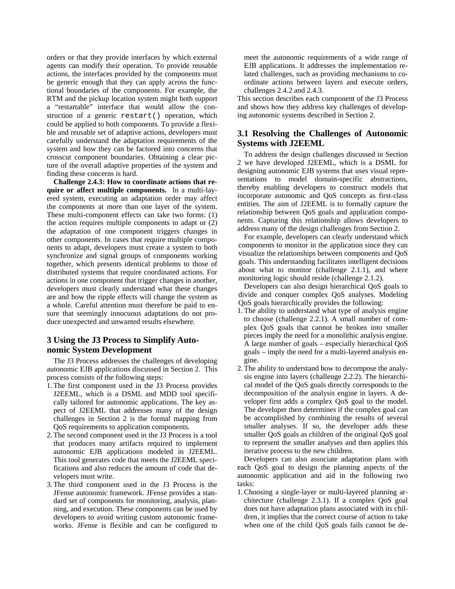orders or that they provide interfaces by which external agents can modify their operation. To provide reusable actions, the interfaces provided by the components must be generic enough that they can apply across the functional boundaries of the components. For example, the RTM and the pickup location system might both support a "restartable" interface that would allow the construction of a generic restart() operation, which could be applied to both components. To provide a flexible and reusable set of adaptive actions, developers must carefully understand the adaptation requirements of the system and how they can be factored into concerns that crosscut component boundaries. Obtaining a clear picture of the overall adaptive properties of the system and finding these concerns is hard.

**Challenge 2.4.3: How to coordinate actions that require or affect multiple components.** In a multi-layered system, executing an adaptation order may affect the components at more than one layer of the system. These multi-component effects can take two forms: (1) the action requires multiple components to adapt or (2) the adaptation of one component triggers changes in other components. In cases that require multiple components to adapt, developers must create a system to both synchronize and signal groups of components working together, which presents identical problems to those of distributed systems that require coordinated actions. For actions in one component that trigger changes in another, developers must clearly understand what these changes are and how the ripple effects will change the system as a whole. Careful attention must therefore be paid to ensure that seemingly innocuous adaptations do not produce unexpected and unwanted results elsewhere.

## **3 Using the J3 Process to Simplify Autonomic System Development**

The J3 Process addresses the challenges of developing autonomic EJB applications discussed in Section 2. This process consists of the following steps:

- 1. The first component used in the J3 Process provides J2EEML, which is a DSML and MDD tool specifically tailored for autonomic applications. The key aspect of J2EEML that addresses many of the design challenges in Section 2 is the formal mapping from QoS requirements to application components.
- 2. The second component used in the J3 Process is a tool that produces many artifacts required to implement autonomic EJB applications modeled in J2EEML. This tool generates code that meets the J2EEML specifications and also reduces the amount of code that developers must write.
- 3. The third component used in the J3 Process is the JFense autonomic framework. JFense provides a standard set of components for monitoring, analysis, planning, and execution. These components can be used by developers to avoid writing custom autonomic frameworks. JFense is flexible and can be configured to

meet the autonomic requirements of a wide range of EJB applications. It addresses the implementation related challenges, such as providing mechanisms to coordinate actions between layers and execute orders, challenges 2.4.2 and 2.4.3.

This section describes each component of the J3 Process and shows how they address key challenges of developing autonomic systems described in Section 2.

## **3.1 Resolving the Challenges of Autonomic Systems with J2EEML**

To address the design challenges discussed in Section 2 we have developed J2EEML, which is a DSML for designing autonomic EJB systems that uses visual representations to model domain-specific abstractions, thereby enabling developers to construct models that incorporate autonomic and QoS concepts as first-class entities. The aim of J2EEML is to formally capture the relationship between QoS goals and application components. Capturing this relationship allows developers to address many of the design challenges from Section 2.

For example, developers can clearly understand which components to monitor in the application since they can visualize the relationships between components and QoS goals. This understanding facilitates intelligent decisions about what to monitor (challenge 2.1.1), and where monitoring logic should reside (challenge 2.1.2).

Developers can also design hierarchical QoS goals to divide and conquer complex QoS analyses. Modeling QoS goals hierarchically provides the following:

- 1. The ability to understand what type of analysis engine to choose (challenge 2.2.1). A small number of complex QoS goals that cannot be broken into smaller pieces imply the need for a monolithic analysis engine. A large number of goals – especially hierarchical QoS goals – imply the need for a multi-layered analysis engine.
- 2. The ability to understand how to decompose the analysis engine into layers (challenge 2.2.2). The hierarchical model of the QoS goals directly corresponds to the decomposition of the analysis engine in layers. A developer first adds a complex QoS goal to the model. The developer then determines if the complex goal can be accomplished by combining the results of several smaller analyses. If so, the developer adds these smaller QoS goals as children of the original QoS goal to represent the smaller analyses and then applies this iterative process to the new children.

Developers can also associate adaptation plans with each QoS goal to design the planning aspects of the autonomic application and aid in the following two tasks:

1. Choosing a single-layer or multi-layered planning architecture (challenge 2.3.1). If a complex QoS goal does not have adaptation plans associated with its children, it implies that the correct course of action to take when one of the child QoS goals fails cannot be de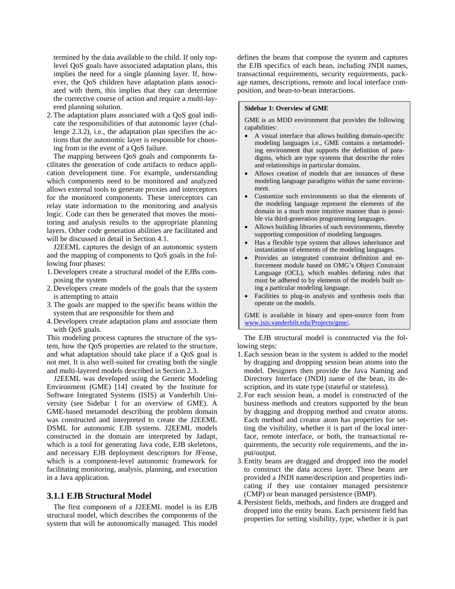termined by the data available to the child. If only toplevel QoS goals have associated adaptation plans, this implies the need for a single planning layer. If, however, the QoS children have adaptation plans associated with them, this implies that they can determine the corrective course of action and require a multi-layered planning solution.

2. The adaptation plans associated with a QoS goal indicate the responsibilities of that autonomic layer (challenge 2.3.2), i.e., the adaptation plan specifies the actions that the autonomic layer is responsible for choosing from in the event of a QoS failure.

The mapping between QoS goals and components facilitates the generation of code artifacts to reduce application development time. For example, understanding which components need to be monitored and analyzed allows external tools to generate proxies and interceptors for the monitored components. These interceptors can relay state information to the monitoring and analysis logic. Code can then be generated that moves the monitoring and analysis results to the appropriate planning layers. Other code generation abilities are facilitated and will be discussed in detail in Section 4.1.

J2EEML captures the design of an autonomic system and the mapping of components to QoS goals in the following four phases:

- 1. Developers create a structural model of the EJBs composing the system
- 2. Developers create models of the goals that the system is attempting to attain
- 3.The goals are mapped to the specific beans within the system that are responsible for them and
- 4. Developers create adaptation plans and associate them with QoS goals.

This modeling process captures the structure of the system, how the QoS properties are related to the structure, and what adaptation should take place if a QoS goal is not met. It is also well-suited for creating both the single and multi-layered models described in Section 2.3.

J2EEML was developed using the Generic Modeling Environment (GME) [14] created by the Institute for Software Integrated Systems (ISIS) at Vanderbilt University (see Sidebar 1 for an overview of GME). A GME-based metamodel describing the problem domain was constructed and interpreted to create the J2EEML DSML for autonomic EJB systems. J2EEML models constructed in the domain are interpreted by Jadapt, which is a tool for generating Java code, EJB skeletons, and necessary EJB deployment descriptors for JFense, which is a component-level autonomic framework for facilitating monitoring, analysis, planning, and execution in a Java application.

### **3.1.1 EJB Structural Model**

The first component of a J2EEML model is its EJB structural model, which describes the components of the system that will be autonomically managed. This model defines the beans that compose the system and captures the EJB specifics of each bean, including JNDI names, transactional requirements, security requirements, package names, descriptions, remote and local interface composition, and bean-to-bean interactions.

#### **Sidebar 1: Overview of GME**

GME is an MDD environment that provides the following capabilities:

- A visual interface that allows building domain-specific modeling languages i.e., GME contains a metamodeling environment that supports the definition of paradigms, which are type systems that describe the roles and relationships in particular domains.
- Allows creation of models that are instances of these modeling language paradigms within the same environment.
- Customize such environments so that the elements of the modeling language represent the elements of the domain in a much more intuitive manner than is possible via third-generation programming languages.
- Allows building libraries of such environments, thereby supporting composition of modeling languages.
- Has a flexible type system that allows inheritance and instantiation of elements of the modeling languages.
- Provides an integrated constraint definition and enforcement module based on OMG's Object Constraint Language (OCL), which enables defining rules that must be adhered to by elements of the models built using a particular modeling language.
- Facilities to plug-in analysis and synthesis tools that operate on the models.

GME is available in binary and open-source form from [www.isis.vanderbilt.edu/Projects/gme/](http://www.isis.vanderbilt.edu/Projects/gme/).

The EJB structural model is constructed via the following steps:

- 1.Each session bean in the system is added to the model by dragging and dropping session bean atoms into the model. Designers then provide the Java Naming and Directory Interface (JNDI) name of the bean, its description, and its state type (stateful or stateless).
- 2. For each session bean, a model is constructed of the business methods and creators supported by the bean by dragging and dropping method and creator atoms. Each method and creator atom has properties for setting the visibility, whether it is part of the local interface, remote interface, or both, the transactional requirements, the security role requirements, and the input/output.
- 3. Entity beans are dragged and dropped into the model to construct the data access layer. These beans are provided a JNDI name/description and properties indicating if they use container managed persistence (CMP) or bean managed persistence (BMP).
- 4. Persistent fields, methods, and finders are dragged and dropped into the entity beans. Each persistent field has properties for setting visibility, type, whether it is part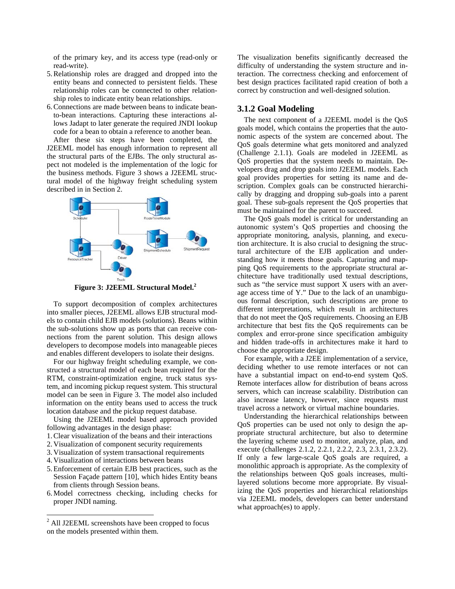of the primary key, and its access type (read-only or read-write).

- 5.Relationship roles are dragged and dropped into the entity beans and connected to persistent fields. These relationship roles can be connected to other relationship roles to indicate entity bean relationships.
- 6.Connections are made between beans to indicate beanto-bean interactions. Capturing these interactions allows Jadapt to later generate the required JNDI lookup code for a bean to obtain a reference to another bean.

After these six steps have been completed, the J2EEML model has enough information to represent all the structural parts of the EJBs. The only structural aspect not modeled is the implementation of the logic for the business methods. Figure 3 shows a J2EEML structural model of the highway freight scheduling system described in in Section 2.



**Figure 3: J2EEML Structural Model. [2](#page-7-0)**

To support decomposition of complex architectures into smaller pieces, J2EEML allows EJB structural models to contain child EJB models (solutions). Beans within the sub-solutions show up as ports that can receive connections from the parent solution. This design allows developers to decompose models into manageable pieces and enables different developers to isolate their designs.

For our highway freight scheduling example, we constructed a structural model of each bean required for the RTM, constraint-optimization engine, truck status system, and incoming pickup request system. This structural model can be seen in Figure 3. The model also included information on the entity beans used to access the truck location database and the pickup request database.

Using the J2EEML model based approach provided following advantages in the design phase:

- 1.Clear visualization of the beans and their interactions
- 2. Visualization of component security requirements
- 3. Visualization of system transactional requirements
- 4. Visualization of interactions between beans
- 5. Enforcement of certain EJB best practices, such as the Session Façade pattern [10], which hides Entity beans from clients through Session beans.
- 6. Model correctness checking, including checks for proper JNDI naming.

The visualization benefits significantly decreased the difficulty of understanding the system structure and interaction. The correctness checking and enforcement of best design practices facilitated rapid creation of both a correct by construction and well-designed solution.

### **3.1.2 Goal Modeling**

The next component of a J2EEML model is the QoS goals model, which contains the properties that the autonomic aspects of the system are concerned about. The QoS goals determine what gets monitored and analyzed (Challenge 2.1.1). Goals are modeled in J2EEML as QoS properties that the system needs to maintain. Developers drag and drop goals into J2EEML models. Each goal provides properties for setting its name and description. Complex goals can be constructed hierarchically by dragging and dropping sub-goals into a parent goal. These sub-goals represent the QoS properties that must be maintained for the parent to succeed.

The QoS goals model is critical for understanding an autonomic system's QoS properties and choosing the appropriate monitoring, analysis, planning, and execution architecture. It is also crucial to designing the structural architecture of the EJB application and understanding how it meets those goals. Capturing and mapping QoS requirements to the appropriate structural architecture have traditionally used textual descriptions, such as "the service must support X users with an average access time of Y." Due to the lack of an unambiguous formal description, such descriptions are prone to different interpretations, which result in architectures that do not meet the QoS requirements. Choosing an EJB architecture that best fits the QoS requirements can be complex and error-prone since specification ambiguity and hidden trade-offs in architectures make it hard to choose the appropriate design.

For example, with a J2EE implementation of a service, deciding whether to use remote interfaces or not can have a substantial impact on end-to-end system QoS. Remote interfaces allow for distribution of beans across servers, which can increase scalability. Distribution can also increase latency, however, since requests must travel across a network or virtual machine boundaries.

Understanding the hierarchical relationships between QoS properties can be used not only to design the appropriate structural architecture, but also to determine the layering scheme used to monitor, analyze, plan, and execute (challenges 2.1.2, 2.2.1, 2.2.2, 2.3, 2.3.1, 2.3.2). If only a few large-scale QoS goals are required, a monolithic approach is appropriate. As the complexity of the relationships between QoS goals increases, multilayered solutions become more appropriate. By visualizing the QoS properties and hierarchical relationships via J2EEML models, developers can better understand what approach(es) to apply.

<span id="page-7-0"></span> 2 All J2EEML screenshots have been cropped to focus on the models presented within them.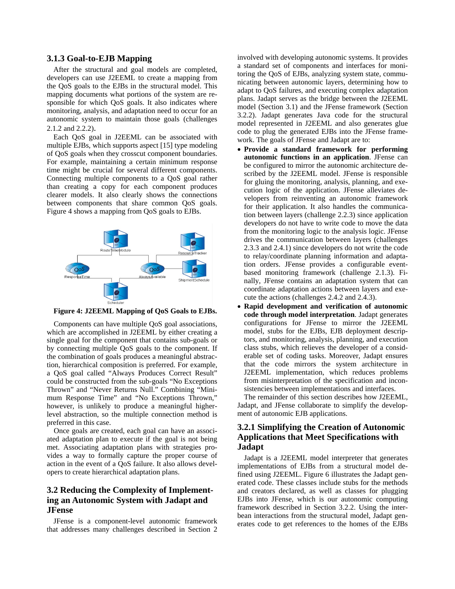### **3.1.3 Goal-to-EJB Mapping**

After the structural and goal models are completed, developers can use J2EEML to create a mapping from the QoS goals to the EJBs in the structural model. This mapping documents what portions of the system are responsible for which QoS goals. It also indicates where monitoring, analysis, and adaptation need to occur for an autonomic system to maintain those goals (challenges 2.1.2 and 2.2.2).

Each QoS goal in J2EEML can be associated with multiple EJBs, which supports aspect [15] type modeling of QoS goals when they crosscut component boundaries. For example, maintaining a certain minimum response time might be crucial for several different components. Connecting multiple components to a QoS goal rather than creating a copy for each component produces clearer models. It also clearly shows the connections between components that share common QoS goals. Figure 4 shows a mapping from QoS goals to EJBs.



**Figure 4: J2EEML Mapping of QoS Goals to EJBs.** 

Components can have multiple QoS goal associations, which are accomplished in J2EEML by either creating a single goal for the component that contains sub-goals or by connecting multiple QoS goals to the component. If the combination of goals produces a meaningful abstraction, hierarchical composition is preferred. For example, a QoS goal called "Always Produces Correct Result" could be constructed from the sub-goals "No Exceptions Thrown" and "Never Returns Null." Combining "Minimum Response Time" and "No Exceptions Thrown," however, is unlikely to produce a meaningful higherlevel abstraction, so the multiple connection method is preferred in this case.

Once goals are created, each goal can have an associated adaptation plan to execute if the goal is not being met. Associating adaptation plans with strategies provides a way to formally capture the proper course of action in the event of a QoS failure. It also allows developers to create hierarchical adaptation plans.

# **3.2 Reducing the Complexity of Implementing an Autonomic System with Jadapt and JFense**

JFense is a component-level autonomic framework that addresses many challenges described in Section 2

involved with developing autonomic systems. It provides a standard set of components and interfaces for monitoring the QoS of EJBs, analyzing system state, communicating between autonomic layers, determining how to adapt to QoS failures, and executing complex adaptation plans. Jadapt serves as the bridge between the J2EEML model (Section 3.1) and the JFense framework (Section 3.2.2). Jadapt generates Java code for the structural model represented in J2EEML and also generates glue code to plug the generated EJBs into the JFense framework. The goals of JFense and Jadapt are to:

- **Provide a standard framework for performing autonomic functions in an application**. JFense can be configured to mirror the autonomic architecture described by the J2EEML model. JFense is responsible for gluing the monitoring, analysis, planning, and execution logic of the application. JFense alleviates developers from reinventing an autonomic framework for their application. It also handles the communication between layers (challenge 2.2.3) since application developers do not have to write code to move the data from the monitoring logic to the analysis logic. JFense drives the communication between layers (challenges 2.3.3 and 2.4.1) since developers do not write the code to relay/coordinate planning information and adaptation orders. JFense provides a configurable eventbased monitoring framework (challenge 2.1.3). Finally, JFense contains an adaptation system that can coordinate adaptation actions between layers and execute the actions (challenges 2.4.2 and 2.4.3).
- **Rapid development and verification of autonomic code through model interpretation**. Jadapt generates configurations for JFense to mirror the J2EEML model, stubs for the EJBs, EJB deployment descriptors, and monitoring, analysis, planning, and execution class stubs, which relieves the developer of a considerable set of coding tasks. Moreover, Jadapt ensures that the code mirrors the system architecture in J2EEML implementation, which reduces problems from misinterpretation of the specification and inconsistencies between implementations and interfaces.

The remainder of this section describes how J2EEML, Jadapt, and JFense collaborate to simplify the development of autonomic EJB applications.

# **3.2.1 Simplifying the Creation of Autonomic Applications that Meet Specifications with Jadapt**

Jadapt is a J2EEML model interpreter that generates implementations of EJBs from a structural model defined using J2EEML. Figure 6 illustrates the Jadapt generated code. These classes include stubs for the methods and creators declared, as well as classes for plugging EJBs into JFense, which is our autonomic computing framework described in Section 3.2.2. Using the interbean interactions from the structural model, Jadapt generates code to get references to the homes of the EJBs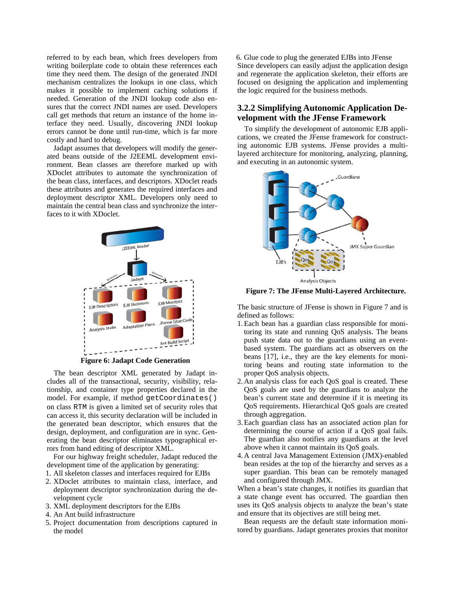referred to by each bean, which frees developers from writing boilerplate code to obtain these references each time they need them. The design of the generated JNDI mechanism centralizes the lookups in one class, which makes it possible to implement caching solutions if needed. Generation of the JNDI lookup code also ensures that the correct JNDI names are used. Developers call get methods that return an instance of the home interface they need. Usually, discovering JNDI lookup errors cannot be done until run-time, which is far more costly and hard to debug.

Jadapt assumes that developers will modify the generated beans outside of the J2EEML development environment. Bean classes are therefore marked up with XDoclet attributes to automate the synchronization of the bean class, interfaces, and descriptors. XDoclet reads these attributes and generates the required interfaces and deployment descriptor XML. Developers only need to maintain the central bean class and synchronize the interfaces to it with XDoclet.



**Figure 6: Jadapt Code Generation** 

The bean descriptor XML generated by Jadapt includes all of the transactional, security, visibility, relationship, and container type properties declared in the model. For example, if method getCoordinates() on class RTM is given a limited set of security roles that can access it, this security declaration will be included in the generated bean descriptor, which ensures that the design, deployment, and configuration are in sync. Generating the bean descriptor eliminates typographical errors from hand editing of descriptor XML.

For our highway freight scheduler, Jadapt reduced the development time of the application by generating:

- 1. All skeleton classes and interfaces required for EJBs
- 2. XDoclet attributes to maintain class, interface, and deployment descriptor synchronization during the development cycle
- 3. XML deployment descriptors for the EJBs
- 4. An Ant build infrastructure
- 5. Project documentation from descriptions captured in the model

6. Glue code to plug the generated EJBs into JFense Since developers can easily adjust the application design and regenerate the application skeleton, their efforts are focused on designing the application and implementing the logic required for the business methods.

# **3.2.2 Simplifying Autonomic Application Development with the JFense Framework**

To simplify the development of autonomic EJB applications, we created the JFense framework for constructing autonomic EJB systems. JFense provides a multilayered architecture for monitoring, analyzing, planning, and executing in an autonomic system.



**Figure 7: The JFense Multi-Layered Architecture.** 

The basic structure of JFense is shown in Figure 7 and is defined as follows:

- 1.Each bean has a guardian class responsible for monitoring its state and running QoS analysis. The beans push state data out to the guardians using an eventbased system. The guardians act as observers on the beans [17], i.e., they are the key elements for monitoring beans and routing state information to the proper QoS analysis objects.
- 2. An analysis class for each QoS goal is created. These QoS goals are used by the guardians to analyze the bean's current state and determine if it is meeting its QoS requirements. Hierarchical QoS goals are created through aggregation.
- 3.Each guardian class has an associated action plan for determining the course of action if a QoS goal fails. The guardian also notifies any guardians at the level above when it cannot maintain its QoS goals.
- 4. A central Java Management Extension (JMX)-enabled bean resides at the top of the hierarchy and serves as a super guardian. This bean can be remotely managed and configured through JMX.

When a bean's state changes, it notifies its guardian that a state change event has occurred. The guardian then uses its QoS analysis objects to analyze the bean's state and ensure that its objectives are still being met.

Bean requests are the default state information monitored by guardians. Jadapt generates proxies that monitor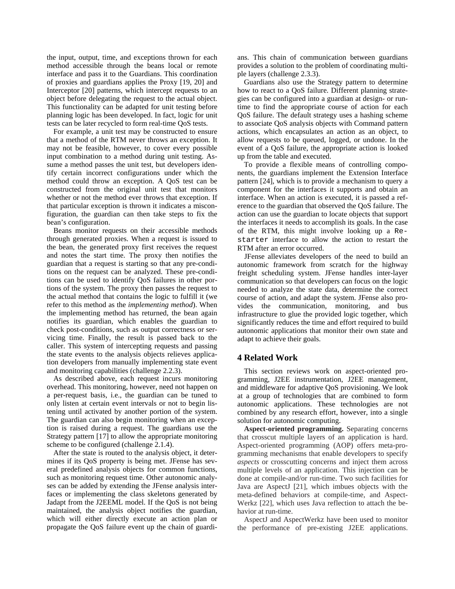the input, output, time, and exceptions thrown for each method accessible through the beans local or remote interface and pass it to the Guardians. This coordination of proxies and guardians applies the Proxy [19, 20] and Interceptor [20] patterns, which intercept requests to an object before delegating the request to the actual object. This functionality can be adapted for unit testing before planning logic has been developed. In fact, logic for unit tests can be later recycled to form real-time QoS tests.

For example, a unit test may be constructed to ensure that a method of the RTM never throws an exception. It may not be feasible, however, to cover every possible input combination to a method during unit testing. Assume a method passes the unit test, but developers identify certain incorrect configurations under which the method could throw an exception. A QoS test can be constructed from the original unit test that monitors whether or not the method ever throws that exception. If that particular exception is thrown it indicates a misconfiguration, the guardian can then take steps to fix the bean's configuration.

Beans monitor requests on their accessible methods through generated proxies. When a request is issued to the bean, the generated proxy first receives the request and notes the start time. The proxy then notifies the guardian that a request is starting so that any pre-conditions on the request can be analyzed. These pre-conditions can be used to identify QoS failures in other portions of the system. The proxy then passes the request to the actual method that contains the logic to fulfill it (we refer to this method as the *implementing method*). When the implementing method has returned, the bean again notifies its guardian, which enables the guardian to check post-conditions, such as output correctness or servicing time. Finally, the result is passed back to the caller. This system of intercepting requests and passing the state events to the analysis objects relieves application developers from manually implementing state event and monitoring capabilities (challenge 2.2.3).

As described above, each request incurs monitoring overhead. This monitoring, however, need not happen on a per-request basis, i.e., the guardian can be tuned to only listen at certain event intervals or not to begin listening until activated by another portion of the system. The guardian can also begin monitoring when an exception is raised during a request. The guardians use the Strategy pattern [17] to allow the appropriate monitoring scheme to be configured (challenge 2.1.4).

After the state is routed to the analysis object, it determines if its QoS property is being met. JFense has several predefined analysis objects for common functions, such as monitoring request time. Other autonomic analyses can be added by extending the JFense analysis interfaces or implementing the class skeletons generated by Jadapt from the J2EEML model. If the QoS is not being maintained, the analysis object notifies the guardian, which will either directly execute an action plan or propagate the QoS failure event up the chain of guardians. This chain of communication between guardians provides a solution to the problem of coordinating multiple layers (challenge 2.3.3).

Guardians also use the Strategy pattern to determine how to react to a QoS failure. Different planning strategies can be configured into a guardian at design- or runtime to find the appropriate course of action for each QoS failure. The default strategy uses a hashing scheme to associate QoS analysis objects with Command pattern actions, which encapsulates an action as an object, to allow requests to be queued, logged, or undone. In the event of a QoS failure, the appropriate action is looked up from the table and executed.

To provide a flexible means of controlling components, the guardians implement the Extension Interface pattern [24], which is to provide a mechanism to query a component for the interfaces it supports and obtain an interface. When an action is executed, it is passed a reference to the guardian that observed the QoS failure. The action can use the guardian to locate objects that support the interfaces it needs to accomplish its goals. In the case of the RTM, this might involve looking up a Restarter interface to allow the action to restart the RTM after an error occurred.

JFense alleviates developers of the need to build an autonomic framework from scratch for the highway freight scheduling system. JFense handles inter-layer communication so that developers can focus on the logic needed to analyze the state data, determine the correct course of action, and adapt the system. JFense also provides the communication, monitoring, and bus infrastructure to glue the provided logic together, which significantly reduces the time and effort required to build autonomic applications that monitor their own state and adapt to achieve their goals.

#### **4 Related Work**

This section reviews work on aspect-oriented programming, J2EE instrumentation, J2EE management, and middleware for adaptive QoS provisioning. We look at a group of technologies that are combined to form autonomic applications. These technologies are not combined by any research effort, however, into a single solution for autonomic computing.

**Aspect-oriented programming.** Separating concerns that crosscut multiple layers of an application is hard. Aspect-oriented programming (AOP) offers meta-programming mechanisms that enable developers to specify *aspects* or crosscutting concerns and inject them across multiple levels of an application. This injection can be done at compile-and/or run-time. Two such facilities for Java are AspectJ [21], which imbues objects with the meta-defined behaviors at compile-time, and Aspect-Werkz [22], which uses Java reflection to attach the behavior at run-time.

AspectJ and AspectWerkz have been used to monitor the performance of pre-existing J2EE applications.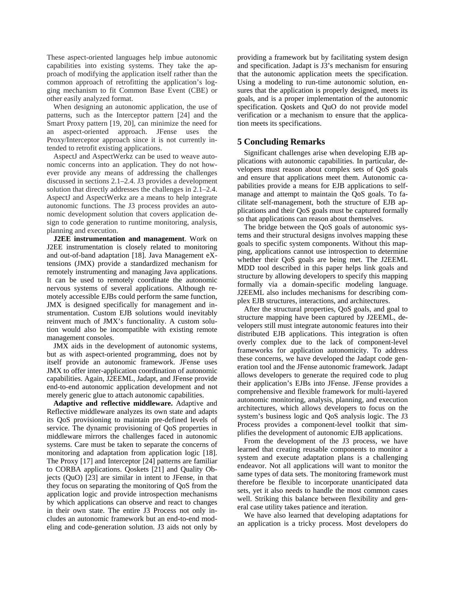These aspect-oriented languages help imbue autonomic capabilities into existing systems. They take the approach of modifying the application itself rather than the common approach of retrofitting the application's logging mechanism to fit Common Base Event (CBE) or other easily analyzed format.

When designing an autonomic application, the use of patterns, such as the Interceptor pattern [24] and the Smart Proxy pattern [19, 20], can minimize the need for an aspect-oriented approach. JFense uses the Proxy/Interceptor approach since it is not currently intended to retrofit existing applications.

AspectJ and AspectWerkz can be used to weave autonomic concerns into an application. They do not however provide any means of addressing the challenges discussed in sections 2.1–2.4. J3 provides a development solution that directly addresses the challenges in 2.1–2.4. AspectJ and AspectWerkz are a means to help integrate autonomic functions. The J3 process provides an autonomic development solution that covers application design to code generation to runtime monitoring, analysis, planning and execution.

**J2EE instrumentation and management**. Work on J2EE instrumentation is closely related to monitoring and out-of-band adaptation [18]. Java Management eXtensions (JMX) provide a standardized mechanism for remotely instrumenting and managing Java applications. It can be used to remotely coordinate the autonomic nervous systems of several applications. Although remotely accessible EJBs could perform the same function, JMX is designed specifically for management and instrumentation. Custom EJB solutions would inevitably reinvent much of JMX's functionality. A custom solution would also be incompatible with existing remote management consoles.

JMX aids in the development of autonomic systems, but as with aspect-oriented programming, does not by itself provide an autonomic framework. JFense uses JMX to offer inter-application coordination of autonomic capabilities. Again, J2EEML, Jadapt, and JFense provide end-to-end autonomic application development and not merely generic glue to attach autonomic capabilities.

**Adaptive and reflective middleware.** Adaptive and Reflective middleware analyzes its own state and adapts its QoS provisioning to maintain pre-defined levels of service. The dynamic provisioning of QoS properties in middleware mirrors the challenges faced in autonomic systems. Care must be taken to separate the concerns of monitoring and adaptation from application logic [18]. The Proxy [17] and Interceptor [24] patterns are familiar to CORBA applications. Qoskets [21] and Quality Objects (QuO) [23] are similar in intent to JFense, in that they focus on separating the monitoring of QoS from the application logic and provide introspection mechanisms by which applications can observe and react to changes in their own state. The entire J3 Process not only includes an autonomic framework but an end-to-end modeling and code-generation solution. J3 aids not only by

providing a framework but by facilitating system design and specification. Jadapt is J3's mechanism for ensuring that the autonomic application meets the specification. Using a modeling to run-time autonomic solution, ensures that the application is properly designed, meets its goals, and is a proper implementation of the autonomic specification. Qoskets and QuO do not provide model verification or a mechanism to ensure that the application meets its specifications.

### **5 Concluding Remarks**

Significant challenges arise when developing EJB applications with autonomic capabilities. In particular, developers must reason about complex sets of QoS goals and ensure that applications meet them. Autonomic capabilities provide a means for EJB applications to selfmanage and attempt to maintain the QoS goals. To facilitate self-management, both the structure of EJB applications and their QoS goals must be captured formally so that applications can reason about themselves.

The bridge between the QoS goals of autonomic systems and their structural designs involves mapping these goals to specific system components. Without this mapping, applications cannot use introspection to determine whether their QoS goals are being met. The J2EEML MDD tool described in this paper helps link goals and structure by allowing developers to specify this mapping formally via a domain-specific modeling language. J2EEML also includes mechanisms for describing complex EJB structures, interactions, and architectures.

After the structural properties, QoS goals, and goal to structure mapping have been captured by J2EEML, developers still must integrate autonomic features into their distributed EJB applications. This integration is often overly complex due to the lack of component-level frameworks for application autonomicity. To address these concerns, we have developed the Jadapt code generation tool and the JFense autonomic framework. Jadapt allows developers to generate the required code to plug their application's EJBs into JFense. JFense provides a comprehensive and flexible framework for multi-layered autonomic monitoring, analysis, planning, and execution architectures, which allows developers to focus on the system's business logic and QoS analysis logic. The J3 Process provides a component-level toolkit that simplifies the development of autonomic EJB applications.

From the development of the J3 process, we have learned that creating reusable components to monitor a system and execute adaptation plans is a challenging endeavor. Not all applications will want to monitor the same types of data sets. The monitoring framework must therefore be flexible to incorporate unanticipated data sets, yet it also needs to handle the most common cases well. Striking this balance between flexibility and general case utility takes patience and iteration.

We have also learned that developing adaptations for an application is a tricky process. Most developers do